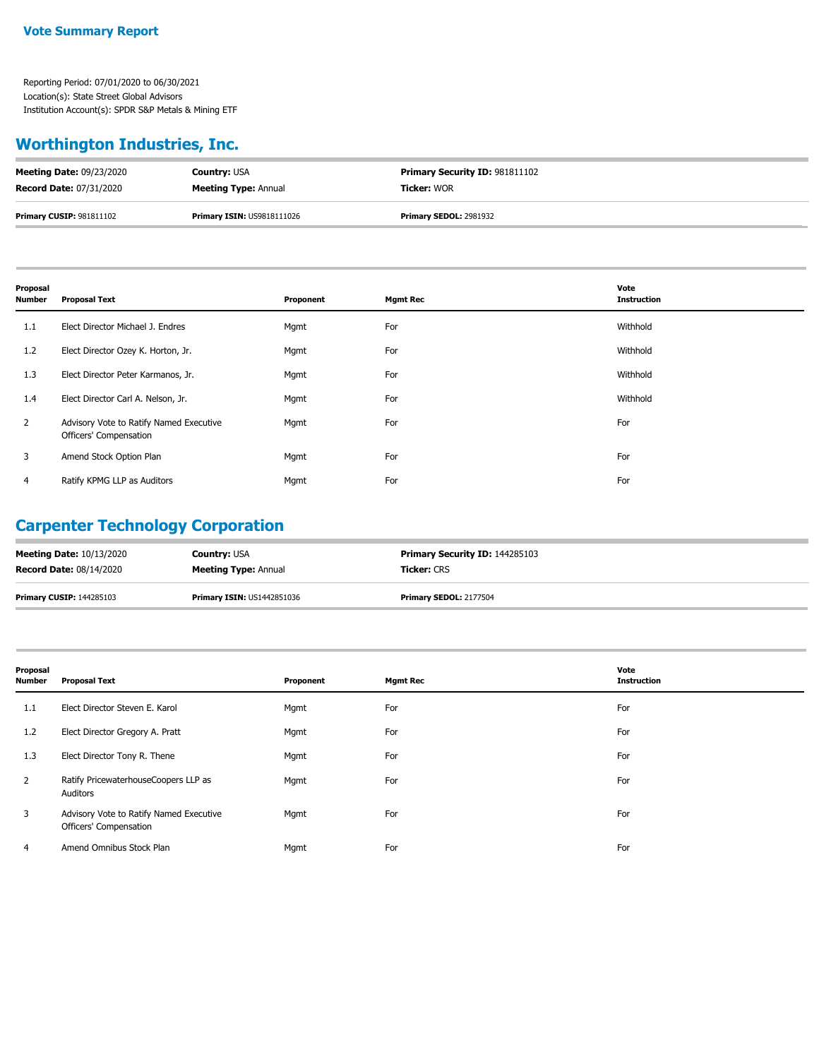#### **Worthington Industries, Inc.**

| <b>Meeting Date: 09/23/2020</b> | <b>Country: USA</b>               | <b>Primary Security ID: 981811102</b> |
|---------------------------------|-----------------------------------|---------------------------------------|
| <b>Record Date: 07/31/2020</b>  | <b>Meeting Type: Annual</b>       | <b>Ticker: WOR</b>                    |
| <b>Primary CUSIP: 981811102</b> | <b>Primary ISIN: US9818111026</b> | <b>Primary SEDOL: 2981932</b>         |

| Proposal<br><b>Number</b> | <b>Proposal Text</b>                                              | Proponent | <b>Mgmt Rec</b> | Vote<br><b>Instruction</b> |
|---------------------------|-------------------------------------------------------------------|-----------|-----------------|----------------------------|
| 1.1                       | Elect Director Michael J. Endres                                  | Mgmt      | For             | Withhold                   |
| 1.2                       | Elect Director Ozey K. Horton, Jr.                                | Mgmt      | For             | Withhold                   |
| 1.3                       | Elect Director Peter Karmanos, Jr.                                | Mgmt      | For             | Withhold                   |
| 1.4                       | Elect Director Carl A. Nelson, Jr.                                | Mgmt      | For             | Withhold                   |
| $\overline{2}$            | Advisory Vote to Ratify Named Executive<br>Officers' Compensation | Mgmt      | For             | For                        |
| 3                         | Amend Stock Option Plan                                           | Mgmt      | For             | For                        |
| 4                         | Ratify KPMG LLP as Auditors                                       | Mgmt      | For             | For                        |

# **Carpenter Technology Corporation**

| <b>Meeting Date: 10/13/2020</b> | <b>Country: USA</b>               | <b>Primary Security ID: 144285103</b> |
|---------------------------------|-----------------------------------|---------------------------------------|
| <b>Record Date: 08/14/2020</b>  | <b>Meeting Type: Annual</b>       | <b>Ticker:</b> CRS                    |
| <b>Primary CUSIP: 144285103</b> | <b>Primary ISIN: US1442851036</b> | <b>Primary SEDOL: 2177504</b>         |

| Proposal<br>Number | <b>Proposal Text</b>                                              | Proponent | <b>Mgmt Rec</b> | Vote<br><b>Instruction</b> |
|--------------------|-------------------------------------------------------------------|-----------|-----------------|----------------------------|
| 1.1                | Elect Director Steven E. Karol                                    | Mgmt      | For             | For                        |
| 1.2                | Elect Director Gregory A. Pratt                                   | Mgmt      | For             | For                        |
| 1.3                | Elect Director Tony R. Thene                                      | Mgmt      | For             | For                        |
| $\overline{2}$     | Ratify PricewaterhouseCoopers LLP as<br>Auditors                  | Mgmt      | For             | For                        |
| 3                  | Advisory Vote to Ratify Named Executive<br>Officers' Compensation | Mgmt      | For             | For                        |
| 4                  | Amend Omnibus Stock Plan                                          | Mgmt      | For             | For                        |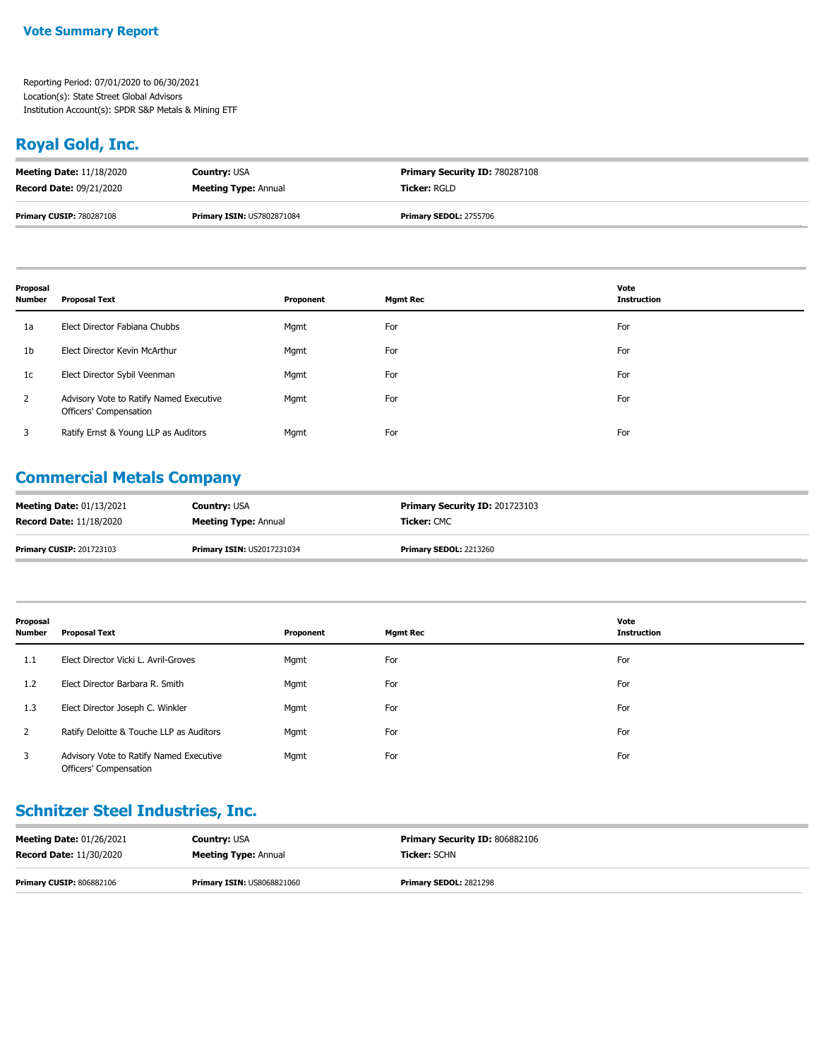#### **Royal Gold, Inc.**

| <b>Meeting Date: 11/18/2020</b> | <b>Country: USA</b>               | <b>Primary Security ID: 780287108</b> |
|---------------------------------|-----------------------------------|---------------------------------------|
| <b>Record Date: 09/21/2020</b>  | <b>Meeting Type: Annual</b>       | <b>Ticker:</b> RGLD                   |
| <b>Primary CUSIP: 780287108</b> | <b>Primary ISIN: US7802871084</b> | <b>Primary SEDOL: 2755706</b>         |

| Proposal<br><b>Number</b> | <b>Proposal Text</b>                                              | Proponent | <b>Mgmt Rec</b> | Vote<br><b>Instruction</b> |
|---------------------------|-------------------------------------------------------------------|-----------|-----------------|----------------------------|
| 1a                        | Elect Director Fabiana Chubbs                                     | Mgmt      | For             | For                        |
| 1 <sub>b</sub>            | Elect Director Kevin McArthur                                     | Mgmt      | For             | For                        |
| 1c                        | Elect Director Sybil Veenman                                      | Mgmt      | For             | For                        |
| $\overline{2}$            | Advisory Vote to Ratify Named Executive<br>Officers' Compensation | Mgmt      | For             | For                        |
| 3                         | Ratify Ernst & Young LLP as Auditors                              | Mgmt      | For             | For                        |

#### **Commercial Metals Company**

| <b>Meeting Date: 01/13/2021</b> | <b>Country: USA</b>               | <b>Primary Security ID: 201723103</b> |
|---------------------------------|-----------------------------------|---------------------------------------|
| <b>Record Date: 11/18/2020</b>  | <b>Meeting Type: Annual</b>       | <b>Ticker:</b> CMC                    |
| <b>Primary CUSIP: 201723103</b> | <b>Primary ISIN: US2017231034</b> | <b>Primary SEDOL: 2213260</b>         |

| Proposal<br>Number | <b>Proposal Text</b>                                              | Proponent | <b>Mgmt Rec</b> | Vote<br><b>Instruction</b> |
|--------------------|-------------------------------------------------------------------|-----------|-----------------|----------------------------|
| 1.1                | Elect Director Vicki L. Avril-Groves                              | Mgmt      | For             | For                        |
| 1.2                | Elect Director Barbara R. Smith                                   | Mgmt      | For             | For                        |
| 1.3                | Elect Director Joseph C. Winkler                                  | Mgmt      | For             | For                        |
|                    | Ratify Deloitte & Touche LLP as Auditors                          | Mgmt      | For             | For                        |
| 3                  | Advisory Vote to Ratify Named Executive<br>Officers' Compensation | Mgmt      | For             | For                        |

#### **Schnitzer Steel Industries, Inc.**

| <b>Meeting Date: 01/26/2021</b> | <b>Country: USA</b>               | <b>Primary Security ID: 806882106</b> |
|---------------------------------|-----------------------------------|---------------------------------------|
| <b>Record Date: 11/30/2020</b>  | <b>Meeting Type: Annual</b>       | <b>Ticker:</b> SCHN                   |
| <b>Primary CUSIP: 806882106</b> | <b>Primary ISIN: US8068821060</b> | <b>Primary SEDOL: 2821298</b>         |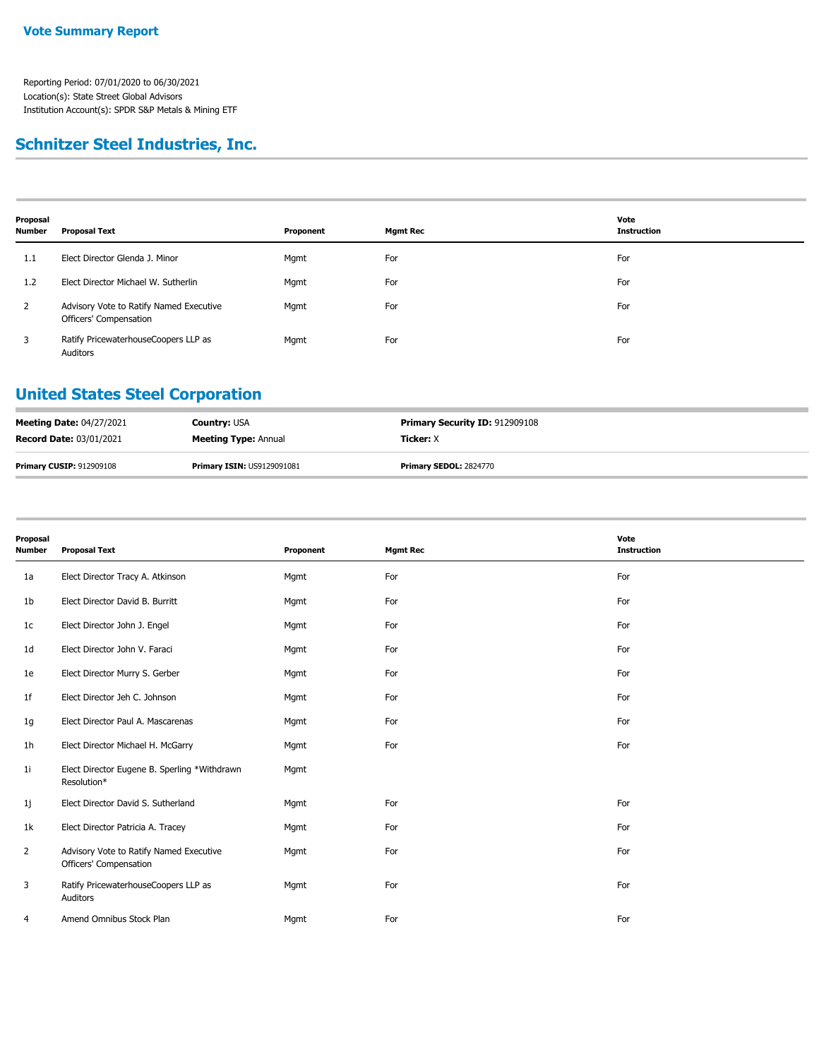## **Schnitzer Steel Industries, Inc.**

| Proposal<br>Number | <b>Proposal Text</b>                                              | Proponent | <b>Mgmt Rec</b> | Vote<br><b>Instruction</b> |
|--------------------|-------------------------------------------------------------------|-----------|-----------------|----------------------------|
| 1.1                | Elect Director Glenda J. Minor                                    | Mgmt      | For             | For                        |
| 1.2                | Elect Director Michael W. Sutherlin                               | Mgmt      | For             | For                        |
| $\mathbf{2}$       | Advisory Vote to Ratify Named Executive<br>Officers' Compensation | Mgmt      | For             | For                        |
| 3                  | Ratify PricewaterhouseCoopers LLP as<br>Auditors                  | Mgmt      | For             | For                        |

#### **United States Steel Corporation**

| <b>Meeting Date: 04/27/2021</b> | <b>Country: USA</b>               | <b>Primary Security ID: 912909108</b> |
|---------------------------------|-----------------------------------|---------------------------------------|
| <b>Record Date: 03/01/2021</b>  | <b>Meeting Type: Annual</b>       | <b>Ticker:</b> X                      |
| <b>Primary CUSIP: 912909108</b> | <b>Primary ISIN: US9129091081</b> | <b>Primary SEDOL: 2824770</b>         |

| Proposal<br>Number | <b>Proposal Text</b>                                              | Proponent | <b>Mgmt Rec</b> | Vote<br><b>Instruction</b> |
|--------------------|-------------------------------------------------------------------|-----------|-----------------|----------------------------|
| 1a                 | Elect Director Tracy A. Atkinson                                  | Mgmt      | For             | For                        |
| 1b                 | Elect Director David B. Burritt                                   | Mgmt      | For             | For                        |
| 1c                 | Elect Director John J. Engel                                      | Mgmt      | For             | For                        |
| 1d                 | Elect Director John V. Faraci                                     | Mgmt      | For             | For                        |
| 1e                 | Elect Director Murry S. Gerber                                    | Mgmt      | For             | For                        |
| 1f                 | Elect Director Jeh C. Johnson                                     | Mgmt      | For             | For                        |
| 1g                 | Elect Director Paul A. Mascarenas                                 | Mgmt      | For             | For                        |
| 1h                 | Elect Director Michael H. McGarry                                 | Mgmt      | For             | For                        |
| 1i                 | Elect Director Eugene B. Sperling *Withdrawn<br>Resolution*       | Mgmt      |                 |                            |
| 1j                 | Elect Director David S. Sutherland                                | Mgmt      | For             | For                        |
| 1k                 | Elect Director Patricia A. Tracey                                 | Mgmt      | For             | For                        |
| $\overline{2}$     | Advisory Vote to Ratify Named Executive<br>Officers' Compensation | Mgmt      | For             | For                        |
| 3                  | Ratify PricewaterhouseCoopers LLP as<br>Auditors                  | Mgmt      | For             | For                        |
| 4                  | Amend Omnibus Stock Plan                                          | Mgmt      | For             | For                        |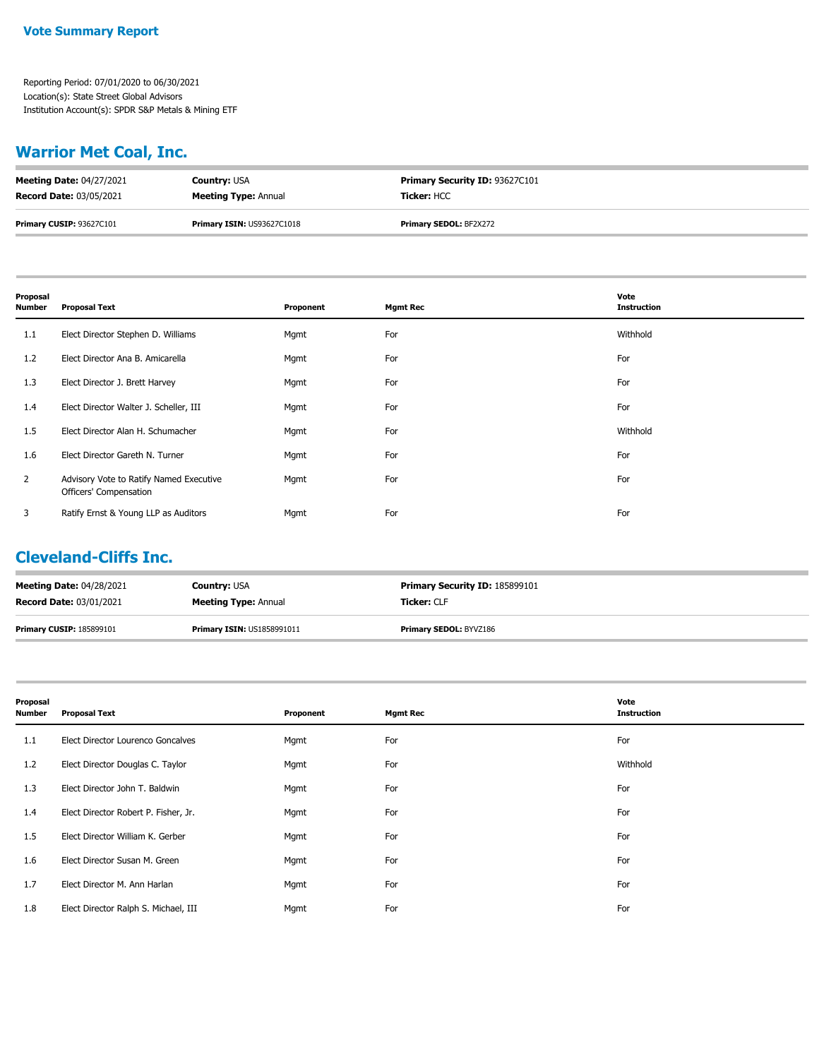## **Warrior Met Coal, Inc.**

| <b>Meeting Date: 04/27/2021</b> | <b>Country: USA</b>               | <b>Primary Security ID: 93627C101</b> |
|---------------------------------|-----------------------------------|---------------------------------------|
| <b>Record Date: 03/05/2021</b>  | <b>Meeting Type: Annual</b>       | <b>Ticker: HCC</b>                    |
| Primary CUSIP: 93627C101        | <b>Primary ISIN: US93627C1018</b> | <b>Primary SEDOL: BF2X272</b>         |

| Proposal<br>Number | <b>Proposal Text</b>                                              | Proponent | <b>Mgmt Rec</b> | Vote<br><b>Instruction</b> |
|--------------------|-------------------------------------------------------------------|-----------|-----------------|----------------------------|
| 1.1                | Elect Director Stephen D. Williams                                | Mgmt      | For             | Withhold                   |
| 1.2                | Elect Director Ana B. Amicarella                                  | Mgmt      | For             | For                        |
| 1.3                | Elect Director J. Brett Harvey                                    | Mgmt      | For             | For                        |
| 1.4                | Elect Director Walter J. Scheller, III                            | Mgmt      | For             | For                        |
| $1.5\phantom{0}$   | Elect Director Alan H. Schumacher                                 | Mgmt      | For             | Withhold                   |
| 1.6                | Elect Director Gareth N. Turner                                   | Mgmt      | For             | For                        |
| $\overline{2}$     | Advisory Vote to Ratify Named Executive<br>Officers' Compensation | Mgmt      | For             | For                        |
| 3                  | Ratify Ernst & Young LLP as Auditors                              | Mgmt      | For             | For                        |

#### **Cleveland-Cliffs Inc.**

| <b>Meeting Date: 04/28/2021</b> | <b>Country: USA</b>               | <b>Primary Security ID: 185899101</b> |
|---------------------------------|-----------------------------------|---------------------------------------|
| <b>Record Date: 03/01/2021</b>  | <b>Meeting Type: Annual</b>       | <b>Ticker: CLF</b>                    |
| <b>Primary CUSIP: 185899101</b> | <b>Primary ISIN: US1858991011</b> | <b>Primary SEDOL: BYVZ186</b>         |

| Proposal<br>Number | <b>Proposal Text</b>                 | Proponent | <b>Mgmt Rec</b> | Vote<br><b>Instruction</b> |
|--------------------|--------------------------------------|-----------|-----------------|----------------------------|
| 1.1                | Elect Director Lourenco Goncalves    | Mgmt      | For             | For                        |
| 1.2                | Elect Director Douglas C. Taylor     | Mgmt      | For             | Withhold                   |
| 1.3                | Elect Director John T. Baldwin       | Mgmt      | For             | For                        |
| 1.4                | Elect Director Robert P. Fisher, Jr. | Mgmt      | For             | For                        |
| $1.5\phantom{0}$   | Elect Director William K. Gerber     | Mgmt      | For             | For                        |
| 1.6                | Elect Director Susan M. Green        | Mgmt      | For             | For                        |
| 1.7                | Elect Director M. Ann Harlan         | Mgmt      | For             | For                        |
| 1.8                | Elect Director Ralph S. Michael, III | Mgmt      | For             | For                        |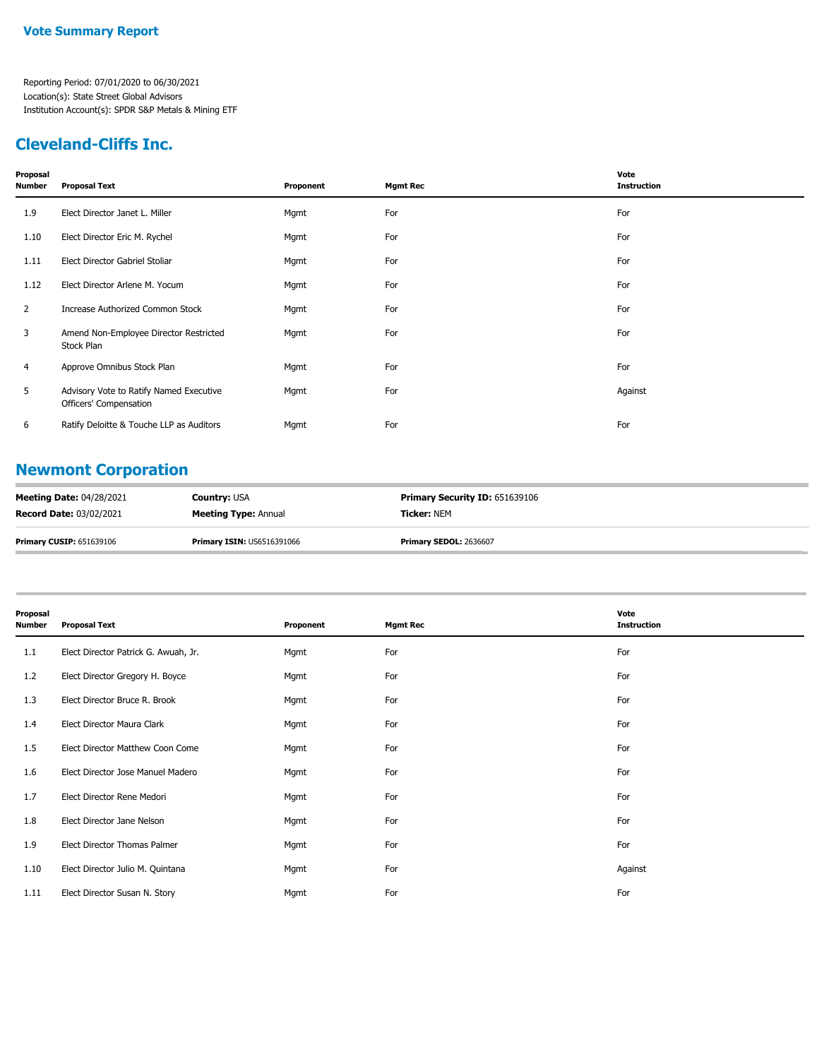### **Cleveland-Cliffs Inc.**

| Proposal<br>Number | <b>Proposal Text</b>                                              | Proponent | <b>Mgmt Rec</b> | Vote<br><b>Instruction</b> |
|--------------------|-------------------------------------------------------------------|-----------|-----------------|----------------------------|
| 1.9                | Elect Director Janet L. Miller                                    | Mgmt      | For             | For                        |
| 1.10               | Elect Director Eric M. Rychel                                     | Mgmt      | For             | For                        |
| 1.11               | Elect Director Gabriel Stoliar                                    | Mgmt      | For             | For                        |
| 1.12               | Elect Director Arlene M. Yocum                                    | Mgmt      | For             | For                        |
| $\overline{2}$     | Increase Authorized Common Stock                                  | Mgmt      | For             | For                        |
| 3                  | Amend Non-Employee Director Restricted<br>Stock Plan              | Mgmt      | For             | For                        |
| 4                  | Approve Omnibus Stock Plan                                        | Mgmt      | For             | For                        |
| 5                  | Advisory Vote to Ratify Named Executive<br>Officers' Compensation | Mgmt      | For             | Against                    |
| 6                  | Ratify Deloitte & Touche LLP as Auditors                          | Mgmt      | For             | For                        |

## **Newmont Corporation**

| <b>Meeting Date: 04/28/2021</b> | <b>Country: USA</b>               | <b>Primary Security ID: 651639106</b> |
|---------------------------------|-----------------------------------|---------------------------------------|
| <b>Record Date: 03/02/2021</b>  | <b>Meeting Type: Annual</b>       | <b>Ticker: NEM</b>                    |
| <b>Primary CUSIP: 651639106</b> | <b>Primary ISIN: US6516391066</b> | <b>Primary SEDOL: 2636607</b>         |

| Proposal<br><b>Number</b> | <b>Proposal Text</b>                 | Proponent | <b>Mgmt Rec</b> | Vote<br><b>Instruction</b> |
|---------------------------|--------------------------------------|-----------|-----------------|----------------------------|
| 1.1                       | Elect Director Patrick G. Awuah, Jr. | Mgmt      | For             | For                        |
| 1.2                       | Elect Director Gregory H. Boyce      | Mgmt      | For             | For                        |
| 1.3                       | Elect Director Bruce R. Brook        | Mgmt      | For             | For                        |
| 1.4                       | Elect Director Maura Clark           | Mgmt      | For             | For                        |
| 1.5                       | Elect Director Matthew Coon Come     | Mgmt      | For             | For                        |
| 1.6                       | Elect Director Jose Manuel Madero    | Mgmt      | For             | For                        |
| 1.7                       | Elect Director Rene Medori           | Mgmt      | For             | For                        |
| 1.8                       | Elect Director Jane Nelson           | Mgmt      | For             | For                        |
| 1.9                       | Elect Director Thomas Palmer         | Mgmt      | For             | For                        |
| 1.10                      | Elect Director Julio M. Quintana     | Mgmt      | For             | Against                    |
| 1.11                      | Elect Director Susan N. Story        | Mgmt      | For             | For                        |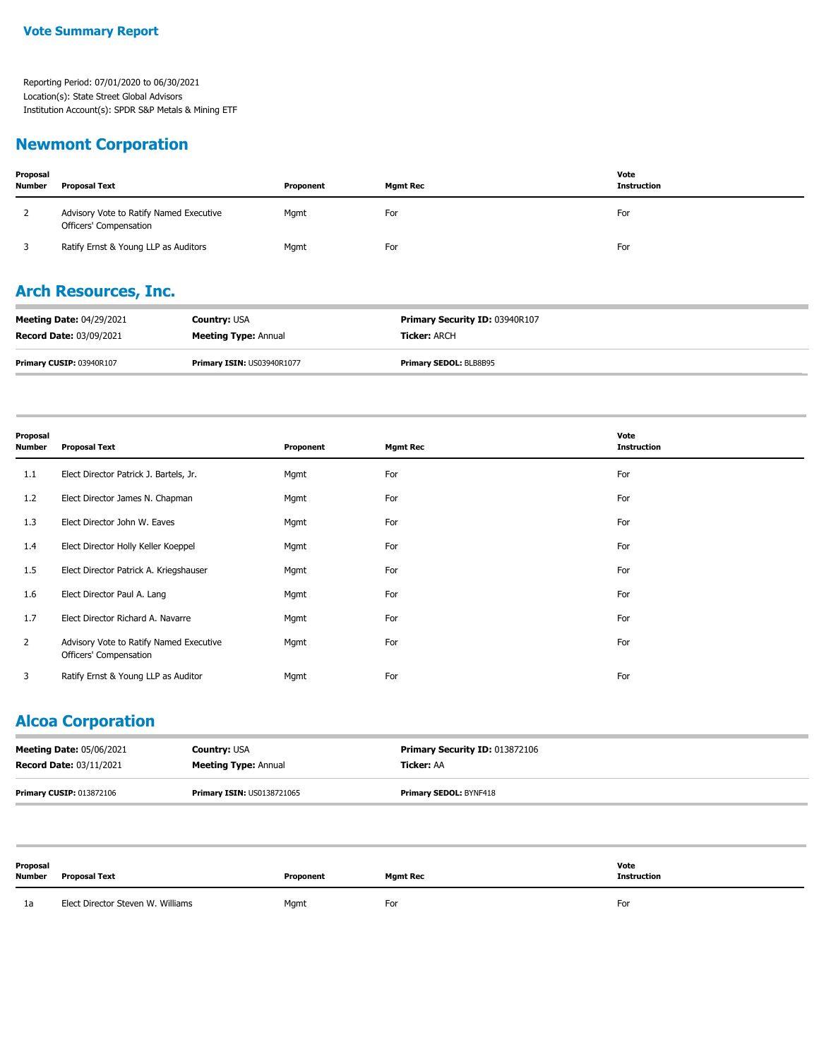#### **Newmont Corporation**

| Proposal<br><b>Number</b> | <b>Proposal Text</b>                                              | Proponent | <b>Mamt Rec</b> | Vote<br><b>Instruction</b> |
|---------------------------|-------------------------------------------------------------------|-----------|-----------------|----------------------------|
|                           | Advisory Vote to Ratify Named Executive<br>Officers' Compensation | Mgmt      | For             | For                        |
|                           | Ratify Ernst & Young LLP as Auditors                              | Mgmt      | For             | For                        |

### **Arch Resources, Inc.**

| <b>Meeting Date: 04/29/2021</b> | <b>Country: USA</b>         | <b>Primary Security ID: 03940R107</b> |
|---------------------------------|-----------------------------|---------------------------------------|
| <b>Record Date: 03/09/2021</b>  | <b>Meeting Type: Annual</b> | <b>Ticker: ARCH</b>                   |
| <b>Primary CUSIP: 03940R107</b> | Primary ISIN: US03940R1077  | <b>Primary SEDOL: BLB8B95</b>         |

| Proposal<br><b>Number</b> | <b>Proposal Text</b>                                              | Proponent | <b>Mgmt Rec</b> | Vote<br><b>Instruction</b> |
|---------------------------|-------------------------------------------------------------------|-----------|-----------------|----------------------------|
| 1.1                       | Elect Director Patrick J. Bartels, Jr.                            | Mgmt      | For             | For                        |
| 1.2                       | Elect Director James N. Chapman                                   | Mgmt      | For             | For                        |
| 1.3                       | Elect Director John W. Eaves                                      | Mgmt      | For             | For                        |
| 1.4                       | Elect Director Holly Keller Koeppel                               | Mgmt      | For             | For                        |
| $1.5\,$                   | Elect Director Patrick A. Kriegshauser                            | Mgmt      | For             | For                        |
| 1.6                       | Elect Director Paul A. Lang                                       | Mgmt      | For             | For                        |
| 1.7                       | Elect Director Richard A. Navarre                                 | Mgmt      | For             | For                        |
| $\overline{2}$            | Advisory Vote to Ratify Named Executive<br>Officers' Compensation | Mgmt      | For             | For                        |
| 3                         | Ratify Ernst & Young LLP as Auditor                               | Mgmt      | For             | For                        |

## **Alcoa Corporation**

| <b>Meeting Date: 05/06/2021</b> | <b>Country: USA</b>               | <b>Primary Security ID: 013872106</b> |
|---------------------------------|-----------------------------------|---------------------------------------|
| <b>Record Date: 03/11/2021</b>  | <b>Meeting Type: Annual</b>       | Ticker: AA                            |
| <b>Primary CUSIP: 013872106</b> | <b>Primary ISIN: US0138721065</b> | <b>Primary SEDOL: BYNF418</b>         |

| Proposal<br><b>Number</b> | Proposal Text                     | Proponent | Mgmt Rec | Vote<br><b>Instruction</b> |
|---------------------------|-----------------------------------|-----------|----------|----------------------------|
| 1a                        | Elect Director Steven W. Williams | Mgmt      | For      | For                        |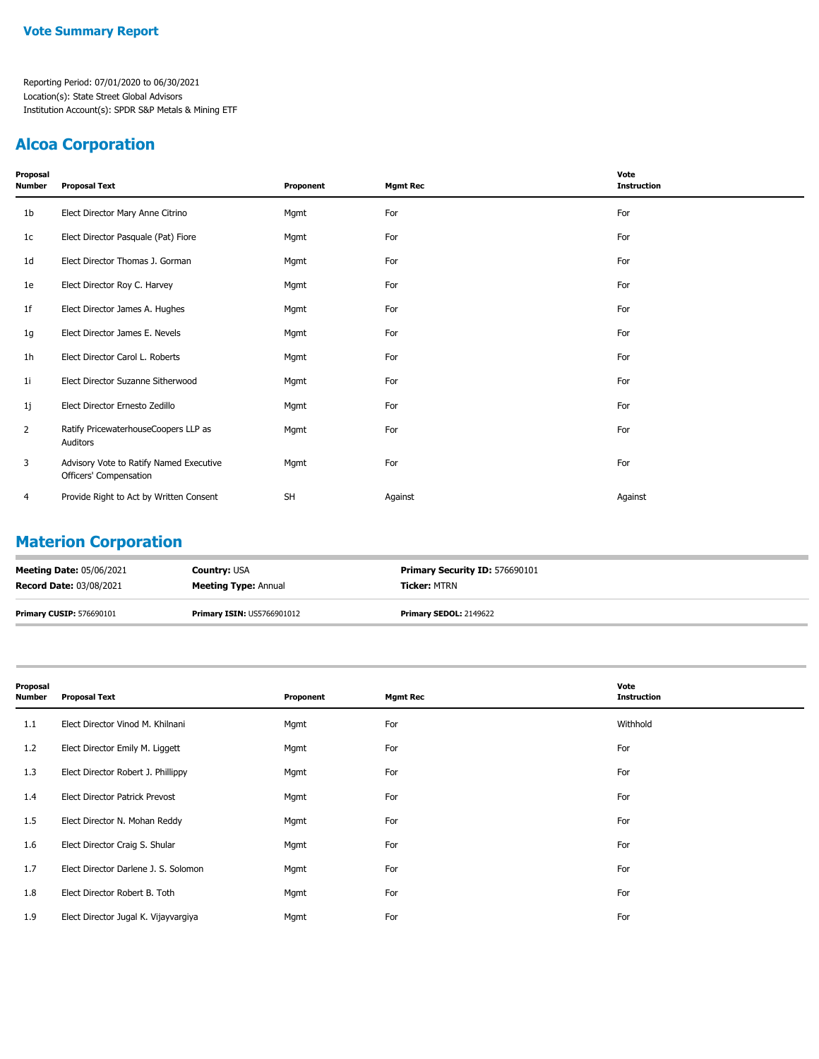#### **Alcoa Corporation**

| Proposal<br>Number | <b>Proposal Text</b>                                              | Proponent | <b>Mgmt Rec</b> | Vote<br><b>Instruction</b> |
|--------------------|-------------------------------------------------------------------|-----------|-----------------|----------------------------|
| 1 <sub>b</sub>     | Elect Director Mary Anne Citrino                                  | Mgmt      | For             | For                        |
| 1c                 | Elect Director Pasquale (Pat) Fiore                               | Mgmt      | For             | For                        |
| 1d                 | Elect Director Thomas J. Gorman                                   | Mgmt      | For             | For                        |
| 1e                 | Elect Director Roy C. Harvey                                      | Mgmt      | For             | For                        |
| 1f                 | Elect Director James A. Hughes                                    | Mgmt      | For             | For                        |
| 1g                 | Elect Director James E. Nevels                                    | Mgmt      | For             | For                        |
| 1h                 | Elect Director Carol L. Roberts                                   | Mgmt      | For             | For                        |
| 1i                 | Elect Director Suzanne Sitherwood                                 | Mgmt      | For             | For                        |
| 1j                 | Elect Director Ernesto Zedillo                                    | Mgmt      | For             | For                        |
| 2                  | Ratify PricewaterhouseCoopers LLP as<br>Auditors                  | Mgmt      | For             | For                        |
| 3                  | Advisory Vote to Ratify Named Executive<br>Officers' Compensation | Mgmt      | For             | For                        |
| 4                  | Provide Right to Act by Written Consent                           | <b>SH</b> | Against         | Against                    |

## **Materion Corporation**

| <b>Meeting Date: 05/06/2021</b> | <b>Country: USA</b>               | <b>Primary Security ID: 576690101</b> |
|---------------------------------|-----------------------------------|---------------------------------------|
| <b>Record Date: 03/08/2021</b>  | <b>Meeting Type: Annual</b>       | <b>Ticker: MTRN</b>                   |
| <b>Primary CUSIP: 576690101</b> | <b>Primary ISIN: US5766901012</b> | <b>Primary SEDOL: 2149622</b>         |

| Proposal<br>Number | <b>Proposal Text</b>                  | Proponent | <b>Mgmt Rec</b> | Vote<br><b>Instruction</b> |
|--------------------|---------------------------------------|-----------|-----------------|----------------------------|
| 1.1                | Elect Director Vinod M. Khilnani      | Mgmt      | For             | Withhold                   |
| 1.2                | Elect Director Emily M. Liggett       | Mgmt      | For             | For                        |
| 1.3                | Elect Director Robert J. Phillippy    | Mgmt      | For             | For                        |
| 1.4                | <b>Elect Director Patrick Prevost</b> | Mgmt      | For             | For                        |
| 1.5                | Elect Director N. Mohan Reddy         | Mgmt      | For             | For                        |
| 1.6                | Elect Director Craig S. Shular        | Mgmt      | For             | For                        |
| 1.7                | Elect Director Darlene J. S. Solomon  | Mgmt      | For             | For                        |
| 1.8                | Elect Director Robert B. Toth         | Mgmt      | For             | For                        |
| 1.9                | Elect Director Jugal K. Vijayvargiya  | Mgmt      | For             | For                        |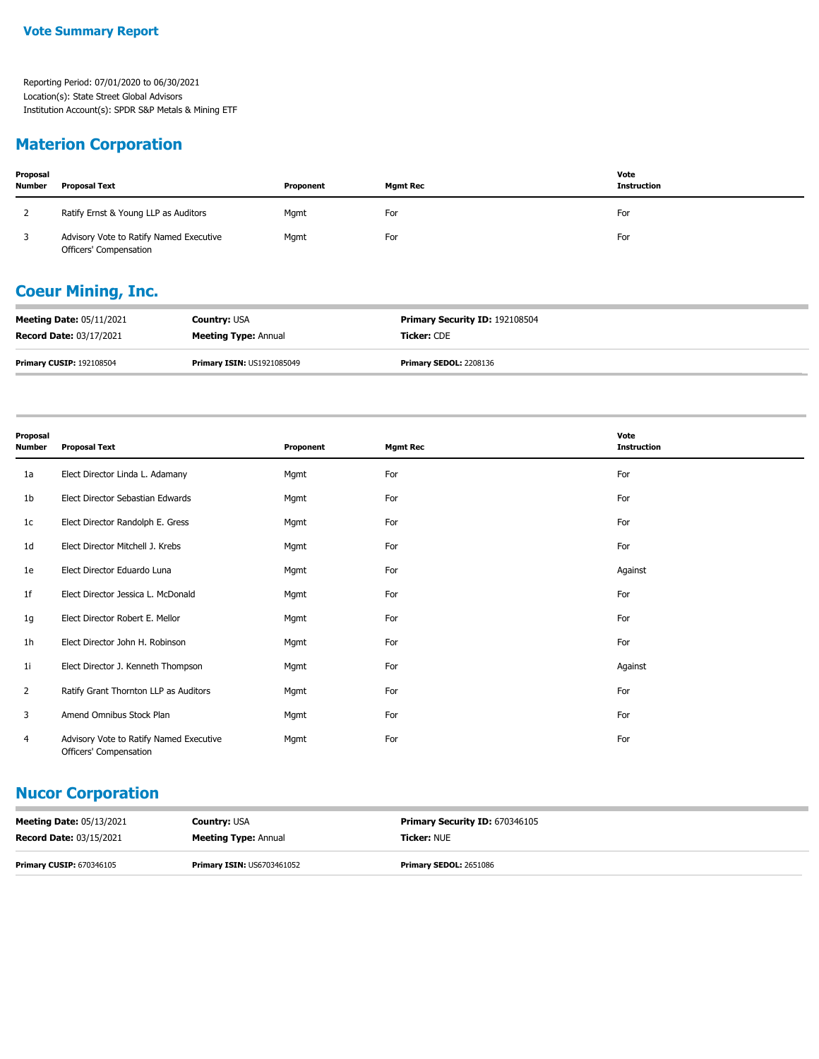#### **Materion Corporation**

| Proposal<br><b>Number</b> | <b>Proposal Text</b>                                              | Proponent | <b>Mgmt Rec</b> | Vote<br><b>Instruction</b> |
|---------------------------|-------------------------------------------------------------------|-----------|-----------------|----------------------------|
|                           | Ratify Ernst & Young LLP as Auditors                              | Mgmt      | For             | For                        |
|                           | Advisory Vote to Ratify Named Executive<br>Officers' Compensation | Mgmt      | For             | For                        |

## **Coeur Mining, Inc.**

| <b>Meeting Date: 05/11/2021</b> | <b>Country: USA</b>               | <b>Primary Security ID: 192108504</b> |
|---------------------------------|-----------------------------------|---------------------------------------|
| <b>Record Date: 03/17/2021</b>  | <b>Meeting Type: Annual</b>       | <b>Ticker: CDE</b>                    |
| <b>Primary CUSIP: 192108504</b> | <b>Primary ISIN: US1921085049</b> | <b>Primary SEDOL: 2208136</b>         |

| Proposal<br><b>Number</b> | <b>Proposal Text</b>                                              | Proponent | <b>Mgmt Rec</b> | Vote<br><b>Instruction</b> |
|---------------------------|-------------------------------------------------------------------|-----------|-----------------|----------------------------|
| 1a                        | Elect Director Linda L. Adamany                                   | Mgmt      | For             | For                        |
| 1b                        | Elect Director Sebastian Edwards                                  | Mgmt      | For             | For                        |
| 1 <sup>c</sup>            | Elect Director Randolph E. Gress                                  | Mgmt      | For             | For                        |
| 1 <sub>d</sub>            | Elect Director Mitchell J. Krebs                                  | Mgmt      | For             | For                        |
| 1e                        | Elect Director Eduardo Luna                                       | Mgmt      | For             | Against                    |
| 1f                        | Elect Director Jessica L. McDonald                                | Mgmt      | For             | For                        |
| 1g                        | Elect Director Robert E. Mellor                                   | Mgmt      | For             | For                        |
| 1 <sub>h</sub>            | Elect Director John H. Robinson                                   | Mgmt      | For             | For                        |
| 1i                        | Elect Director J. Kenneth Thompson                                | Mgmt      | For             | Against                    |
| 2                         | Ratify Grant Thornton LLP as Auditors                             | Mgmt      | For             | For                        |
| 3                         | Amend Omnibus Stock Plan                                          | Mgmt      | For             | For                        |
| 4                         | Advisory Vote to Ratify Named Executive<br>Officers' Compensation | Mgmt      | For             | For                        |

#### **Nucor Corporation**

| <b>Meeting Date: 05/13/2021</b> | <b>Country: USA</b>               | <b>Primary Security ID: 670346105</b> |
|---------------------------------|-----------------------------------|---------------------------------------|
| <b>Record Date: 03/15/2021</b>  | <b>Meeting Type: Annual</b>       | <b>Ticker: NUE</b>                    |
| <b>Primary CUSIP: 670346105</b> | <b>Primary ISIN: US6703461052</b> | <b>Primary SEDOL: 2651086</b>         |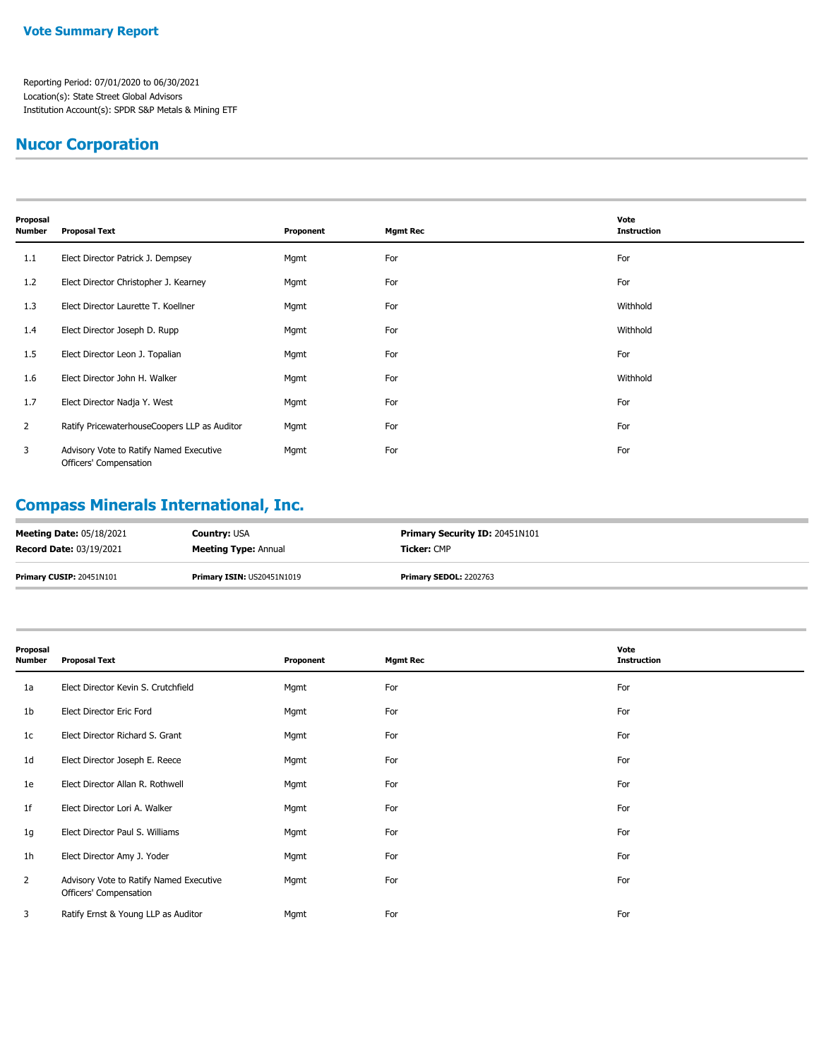### **Nucor Corporation**

| Proposal<br><b>Number</b> | <b>Proposal Text</b>                                              | Proponent | <b>Mgmt Rec</b> | Vote<br><b>Instruction</b> |  |  |
|---------------------------|-------------------------------------------------------------------|-----------|-----------------|----------------------------|--|--|
| 1.1                       | Elect Director Patrick J. Dempsey                                 | Mgmt      | For             | For                        |  |  |
| 1.2                       | Elect Director Christopher J. Kearney                             | Mgmt      | For             | For                        |  |  |
| 1.3                       | Elect Director Laurette T. Koellner                               | Mgmt      | For             | Withhold                   |  |  |
| 1.4                       | Elect Director Joseph D. Rupp                                     | Mgmt      | For             | Withhold                   |  |  |
| 1.5                       | Elect Director Leon J. Topalian                                   | Mgmt      | For             | For                        |  |  |
| 1.6                       | Elect Director John H. Walker                                     | Mgmt      | For             | Withhold                   |  |  |
| 1.7                       | Elect Director Nadja Y. West                                      | Mgmt      | For             | For                        |  |  |
| 2                         | Ratify PricewaterhouseCoopers LLP as Auditor                      | Mgmt      | For             | For                        |  |  |
| 3                         | Advisory Vote to Ratify Named Executive<br>Officers' Compensation | Mgmt      | For             | For                        |  |  |

# **Compass Minerals International, Inc.**

| <b>Meeting Date: 05/18/2021</b> | <b>Country: USA</b>               | <b>Primary Security ID: 20451N101</b> |
|---------------------------------|-----------------------------------|---------------------------------------|
| <b>Record Date: 03/19/2021</b>  | <b>Meeting Type: Annual</b>       | <b>Ticker:</b> CMP                    |
| Primary CUSIP: 20451N101        | <b>Primary ISIN: US20451N1019</b> | <b>Primary SEDOL: 2202763</b>         |

| Proposal<br><b>Number</b> | <b>Proposal Text</b>                                              | Proponent | <b>Mgmt Rec</b> | Vote<br><b>Instruction</b> |
|---------------------------|-------------------------------------------------------------------|-----------|-----------------|----------------------------|
| 1a                        | Elect Director Kevin S. Crutchfield                               | Mgmt      | For             | For                        |
| 1b                        | Elect Director Eric Ford                                          | Mgmt      | For             | For                        |
| 1c                        | Elect Director Richard S. Grant                                   | Mgmt      | For             | For                        |
| 1 <sub>d</sub>            | Elect Director Joseph E. Reece                                    | Mgmt      | For             | For                        |
| 1e                        | Elect Director Allan R. Rothwell                                  | Mgmt      | For             | For                        |
| 1 <sup>f</sup>            | Elect Director Lori A. Walker                                     | Mgmt      | For             | For                        |
| 1g                        | Elect Director Paul S. Williams                                   | Mgmt      | For             | For                        |
| 1 <sub>h</sub>            | Elect Director Amy J. Yoder                                       | Mgmt      | For             | For                        |
| $\overline{2}$            | Advisory Vote to Ratify Named Executive<br>Officers' Compensation | Mgmt      | For             | For                        |
| 3                         | Ratify Ernst & Young LLP as Auditor                               | Mgmt      | For             | For                        |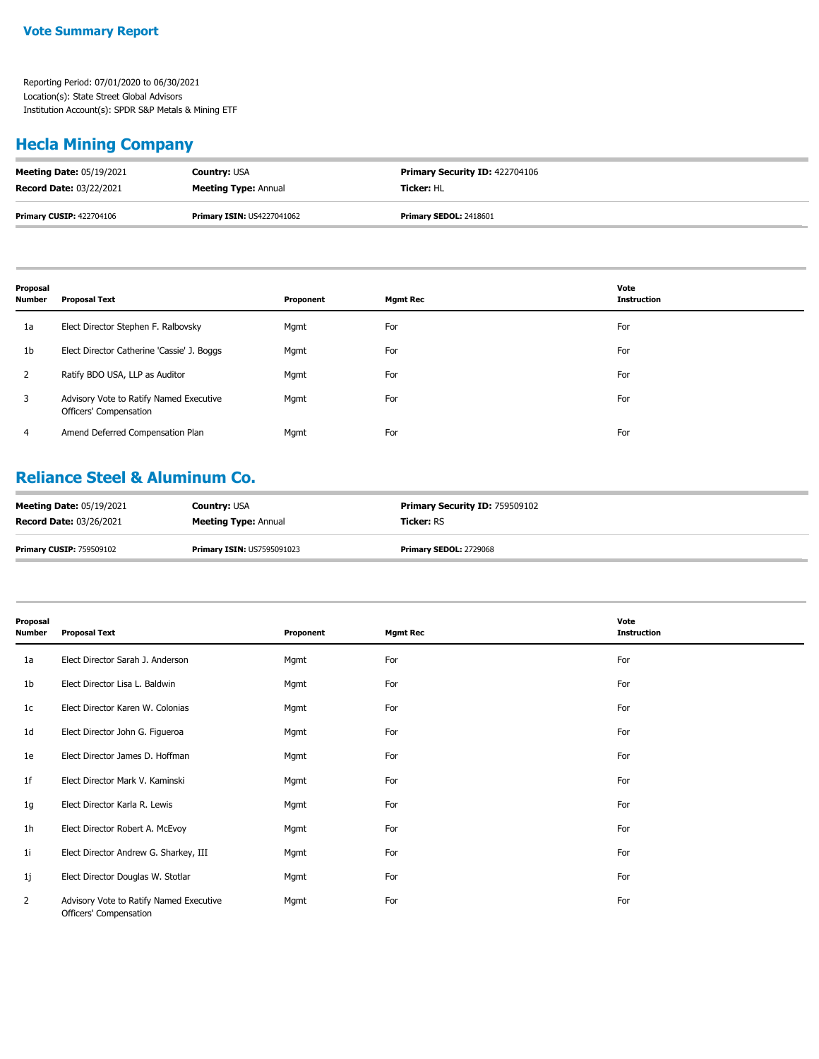## **Hecla Mining Company**

| <b>Meeting Date: 05/19/2021</b> | <b>Country: USA</b>               | <b>Primary Security ID: 422704106</b> |
|---------------------------------|-----------------------------------|---------------------------------------|
| <b>Record Date: 03/22/2021</b>  | <b>Meeting Type: Annual</b>       | <b>Ticker: HL</b>                     |
| <b>Primary CUSIP: 422704106</b> | <b>Primary ISIN: US4227041062</b> | <b>Primary SEDOL: 2418601</b>         |

| Proposal<br><b>Number</b> | <b>Proposal Text</b>                                              | Proponent | <b>Mgmt Rec</b> | Vote<br><b>Instruction</b> |
|---------------------------|-------------------------------------------------------------------|-----------|-----------------|----------------------------|
| 1a                        | Elect Director Stephen F. Ralbovsky                               | Mgmt      | For             | For                        |
| 1b                        | Elect Director Catherine 'Cassie' J. Boggs                        | Mgmt      | For             | For                        |
|                           | Ratify BDO USA, LLP as Auditor                                    | Mgmt      | For             | For                        |
| 3                         | Advisory Vote to Ratify Named Executive<br>Officers' Compensation | Mgmt      | For             | For                        |
| 4                         | Amend Deferred Compensation Plan                                  | Mgmt      | For             | For                        |

### **Reliance Steel & Aluminum Co.**

| <b>Meeting Date: 05/19/2021</b> | <b>Country: USA</b>               | <b>Primary Security ID: 759509102</b> |
|---------------------------------|-----------------------------------|---------------------------------------|
| <b>Record Date: 03/26/2021</b>  | <b>Meeting Type: Annual</b>       | <b>Ticker: RS</b>                     |
| <b>Primary CUSIP: 759509102</b> | <b>Primary ISIN: US7595091023</b> | <b>Primary SEDOL: 2729068</b>         |

| Proposal<br><b>Number</b> | <b>Proposal Text</b>                                              | Proponent | <b>Mgmt Rec</b> | Vote<br><b>Instruction</b> |
|---------------------------|-------------------------------------------------------------------|-----------|-----------------|----------------------------|
| 1a                        | Elect Director Sarah J. Anderson                                  | Mgmt      | For             | For                        |
| 1b                        | Elect Director Lisa L. Baldwin                                    | Mgmt      | For             | For                        |
| 1c                        | Elect Director Karen W. Colonias                                  | Mgmt      | For             | For                        |
| 1 <sub>d</sub>            | Elect Director John G. Figueroa                                   | Mgmt      | For             | For                        |
| 1e                        | Elect Director James D. Hoffman                                   | Mgmt      | For             | For                        |
| 1f                        | Elect Director Mark V. Kaminski                                   | Mgmt      | For             | For                        |
| 1g                        | Elect Director Karla R. Lewis                                     | Mgmt      | For             | For                        |
| 1 <sub>h</sub>            | Elect Director Robert A. McEvoy                                   | Mgmt      | For             | For                        |
| 1i                        | Elect Director Andrew G. Sharkey, III                             | Mgmt      | For             | For                        |
| 1j                        | Elect Director Douglas W. Stotlar                                 | Mgmt      | For             | For                        |
| $\overline{2}$            | Advisory Vote to Ratify Named Executive<br>Officers' Compensation | Mgmt      | For             | For                        |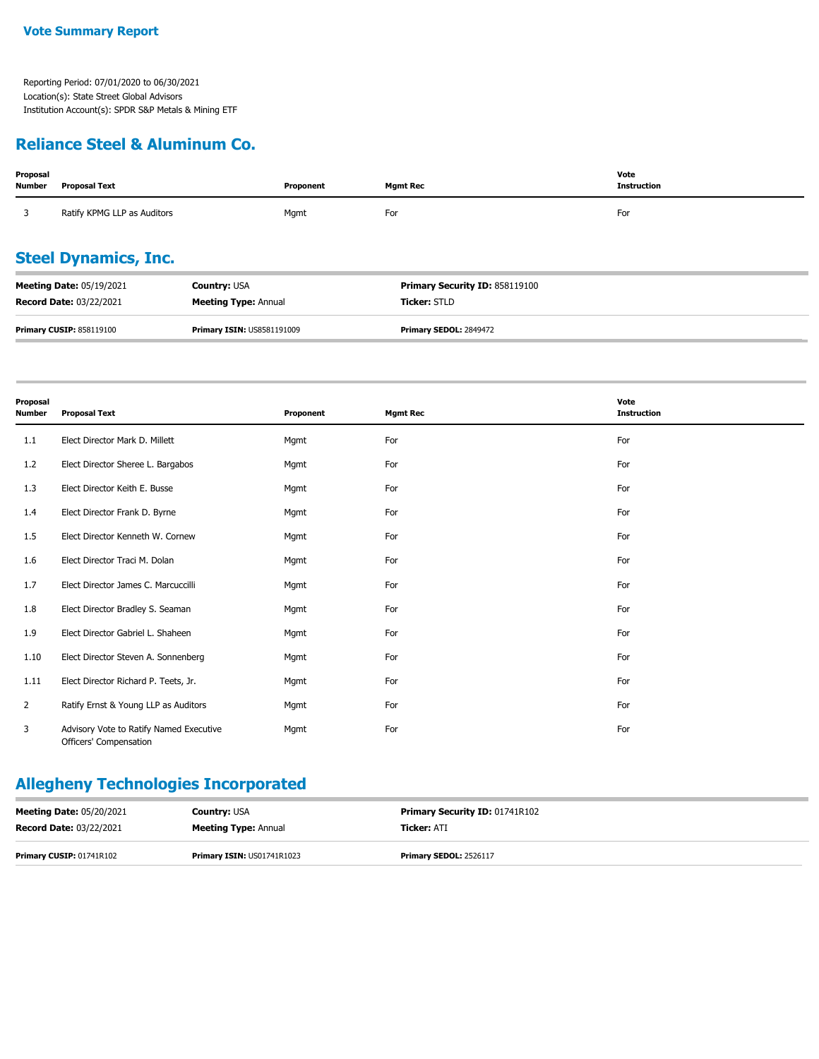#### **Reliance Steel & Aluminum Co.**

| Proposal<br><b>Number</b> | <b>Proposal Text</b>            |                                   | Proponent | <b>Mgmt Rec</b>                | Vote<br><b>Instruction</b> |  |  |
|---------------------------|---------------------------------|-----------------------------------|-----------|--------------------------------|----------------------------|--|--|
|                           | Ratify KPMG LLP as Auditors     |                                   | Mgmt      | For                            | For                        |  |  |
|                           | <b>Steel Dynamics, Inc.</b>     |                                   |           |                                |                            |  |  |
|                           | <b>Meeting Date: 05/19/2021</b> | <b>Country: USA</b>               |           | Primary Security ID: 858119100 |                            |  |  |
|                           | <b>Record Date: 03/22/2021</b>  | <b>Meeting Type: Annual</b>       |           | Ticker: STLD                   |                            |  |  |
|                           | <b>Primary CUSIP: 858119100</b> | <b>Primary ISIN: US8581191009</b> |           | Primary SEDOL: 2849472         |                            |  |  |

| Proposal<br><b>Number</b> | <b>Proposal Text</b>                                              | Proponent | <b>Mgmt Rec</b> | Vote<br><b>Instruction</b> |
|---------------------------|-------------------------------------------------------------------|-----------|-----------------|----------------------------|
| 1.1                       | Elect Director Mark D. Millett                                    | Mgmt      | For             | For                        |
| 1.2                       | Elect Director Sheree L. Bargabos                                 | Mgmt      | For             | For                        |
| 1.3                       | Elect Director Keith E. Busse                                     | Mgmt      | For             | For                        |
| 1.4                       | Elect Director Frank D. Byrne                                     | Mgmt      | For             | For                        |
| 1.5                       | Elect Director Kenneth W. Cornew                                  | Mgmt      | For             | For                        |
| 1.6                       | Elect Director Traci M. Dolan                                     | Mgmt      | For             | For                        |
| 1.7                       | Elect Director James C. Marcuccilli                               | Mgmt      | For             | For                        |
| 1.8                       | Elect Director Bradley S. Seaman                                  | Mgmt      | For             | For                        |
| 1.9                       | Elect Director Gabriel L. Shaheen                                 | Mgmt      | For             | For                        |
| 1.10                      | Elect Director Steven A. Sonnenberg                               | Mgmt      | For             | For                        |
| 1.11                      | Elect Director Richard P. Teets, Jr.                              | Mgmt      | For             | For                        |
| $\overline{2}$            | Ratify Ernst & Young LLP as Auditors                              | Mgmt      | For             | For                        |
| 3                         | Advisory Vote to Ratify Named Executive<br>Officers' Compensation | Mgmt      | For             | For                        |

# **Allegheny Technologies Incorporated**

| <b>Meeting Date: 05/20/2021</b> | <b>Country: USA</b>               | <b>Primary Security ID: 01741R102</b> |
|---------------------------------|-----------------------------------|---------------------------------------|
| <b>Record Date: 03/22/2021</b>  | <b>Meeting Type: Annual</b>       | <b>Ticker: ATI</b>                    |
| Primary CUSIP: 01741R102        | <b>Primary ISIN: US01741R1023</b> | <b>Primary SEDOL: 2526117</b>         |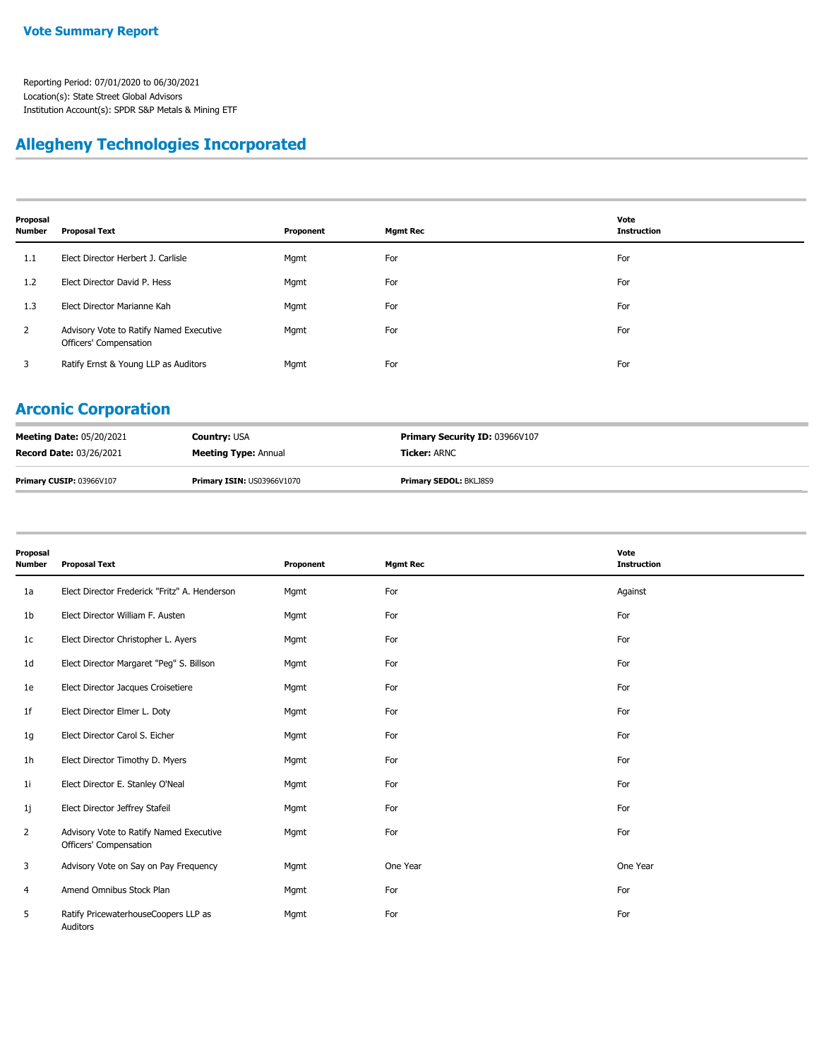#### **Allegheny Technologies Incorporated**

| Proposal<br>Number | <b>Proposal Text</b>                                              | Proponent | <b>Mgmt Rec</b> | Vote<br><b>Instruction</b> |
|--------------------|-------------------------------------------------------------------|-----------|-----------------|----------------------------|
| 1.1                | Elect Director Herbert J. Carlisle                                | Mgmt      | For             | For                        |
| 1.2                | Elect Director David P. Hess                                      | Mgmt      | For             | For                        |
| 1.3                | Elect Director Marianne Kah                                       | Mgmt      | For             | For                        |
| 2                  | Advisory Vote to Ratify Named Executive<br>Officers' Compensation | Mgmt      | For             | For                        |
| 3                  | Ratify Ernst & Young LLP as Auditors                              | Mgmt      | For             | For                        |

## **Arconic Corporation**

| <b>Meeting Date: 05/20/2021</b> | <b>Country: USA</b>               | <b>Primary Security ID: 03966V107</b> |
|---------------------------------|-----------------------------------|---------------------------------------|
| <b>Record Date: 03/26/2021</b>  | <b>Meeting Type: Annual</b>       | <b>Ticker:</b> ARNC                   |
| <b>Primary CUSIP: 03966V107</b> | <b>Primary ISIN: US03966V1070</b> | <b>Primary SEDOL: BKLJ8S9</b>         |

|                    |                                                                   |           |                 | Vote               |
|--------------------|-------------------------------------------------------------------|-----------|-----------------|--------------------|
| Proposal<br>Number | <b>Proposal Text</b>                                              | Proponent | <b>Mgmt Rec</b> | <b>Instruction</b> |
| 1a                 | Elect Director Frederick "Fritz" A. Henderson                     | Mgmt      | For             | Against            |
| 1b                 | Elect Director William F. Austen                                  | Mgmt      | For             | For                |
| 1c                 | Elect Director Christopher L. Ayers                               | Mgmt      | For             | For                |
| 1d                 | Elect Director Margaret "Peg" S. Billson                          | Mgmt      | For             | For                |
| 1e                 | Elect Director Jacques Croisetiere                                | Mgmt      | For             | For                |
| 1f                 | Elect Director Elmer L. Doty                                      | Mgmt      | For             | For                |
| 1g                 | Elect Director Carol S. Eicher                                    | Mgmt      | For             | For                |
| 1h                 | Elect Director Timothy D. Myers                                   | Mgmt      | For             | For                |
| 1i                 | Elect Director E. Stanley O'Neal                                  | Mgmt      | For             | For                |
| 1j                 | Elect Director Jeffrey Stafeil                                    | Mgmt      | For             | For                |
| 2                  | Advisory Vote to Ratify Named Executive<br>Officers' Compensation | Mgmt      | For             | For                |
| 3                  | Advisory Vote on Say on Pay Frequency                             | Mgmt      | One Year        | One Year           |
| 4                  | Amend Omnibus Stock Plan                                          | Mgmt      | For             | For                |
| 5                  | Ratify PricewaterhouseCoopers LLP as<br>Auditors                  | Mgmt      | For             | For                |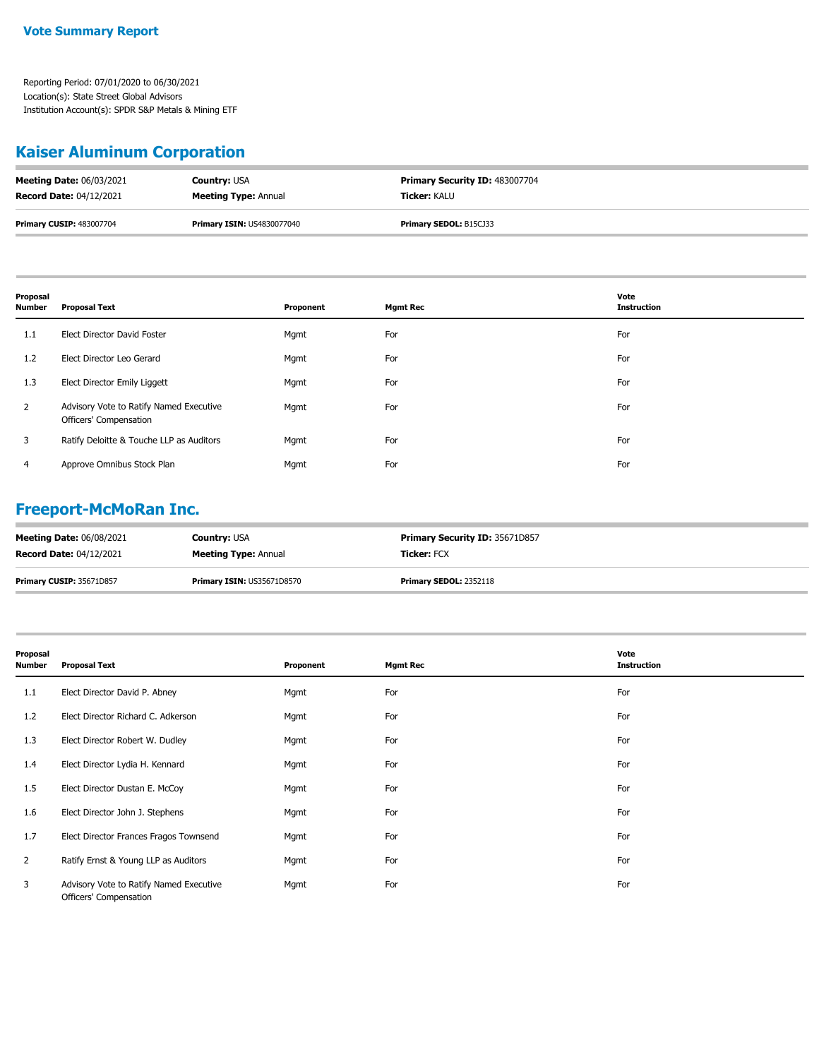## **Kaiser Aluminum Corporation**

| <b>Meeting Date: 06/03/2021</b> | <b>Country: USA</b>               | <b>Primary Security ID: 483007704</b> |
|---------------------------------|-----------------------------------|---------------------------------------|
| <b>Record Date: 04/12/2021</b>  | <b>Meeting Type: Annual</b>       | <b>Ticker: KALU</b>                   |
| <b>Primary CUSIP: 483007704</b> | <b>Primary ISIN: US4830077040</b> | Primary SEDOL: B15CJ33                |

| Proposal<br>Number | <b>Proposal Text</b>                                              | Proponent | <b>Mgmt Rec</b> | Vote<br><b>Instruction</b> |
|--------------------|-------------------------------------------------------------------|-----------|-----------------|----------------------------|
| 1.1                | Elect Director David Foster                                       | Mgmt      | For             | For                        |
| 1.2                | Elect Director Leo Gerard                                         | Mgmt      | For             | For                        |
| 1.3                | Elect Director Emily Liggett                                      | Mgmt      | For             | For                        |
| $\overline{2}$     | Advisory Vote to Ratify Named Executive<br>Officers' Compensation | Mgmt      | For             | For                        |
| 3                  | Ratify Deloitte & Touche LLP as Auditors                          | Mgmt      | For             | For                        |
| 4                  | Approve Omnibus Stock Plan                                        | Mgmt      | For             | For                        |

## **Freeport-McMoRan Inc.**

| <b>Meeting Date: 06/08/2021</b> | <b>Country: USA</b>               | Primary Security ID: 35671D857 |
|---------------------------------|-----------------------------------|--------------------------------|
| <b>Record Date: 04/12/2021</b>  | <b>Meeting Type: Annual</b>       | <b>Ticker: FCX</b>             |
| <b>Primary CUSIP: 35671D857</b> | <b>Primary ISIN: US35671D8570</b> | <b>Primary SEDOL: 2352118</b>  |

| Proposal<br><b>Number</b> | <b>Proposal Text</b>                                              | Proponent | <b>Mgmt Rec</b> | Vote<br><b>Instruction</b> |
|---------------------------|-------------------------------------------------------------------|-----------|-----------------|----------------------------|
| 1.1                       | Elect Director David P. Abney                                     | Mgmt      | For             | For                        |
| 1.2                       | Elect Director Richard C. Adkerson                                | Mgmt      | For             | For                        |
| 1.3                       | Elect Director Robert W. Dudley                                   | Mgmt      | For             | For                        |
| 1.4                       | Elect Director Lydia H. Kennard                                   | Mgmt      | For             | For                        |
| $1.5\,$                   | Elect Director Dustan E. McCoy                                    | Mgmt      | For             | For                        |
| 1.6                       | Elect Director John J. Stephens                                   | Mgmt      | For             | For                        |
| 1.7                       | Elect Director Frances Fragos Townsend                            | Mgmt      | For             | For                        |
| $\overline{2}$            | Ratify Ernst & Young LLP as Auditors                              | Mgmt      | For             | For                        |
| 3                         | Advisory Vote to Ratify Named Executive<br>Officers' Compensation | Mgmt      | For             | For                        |